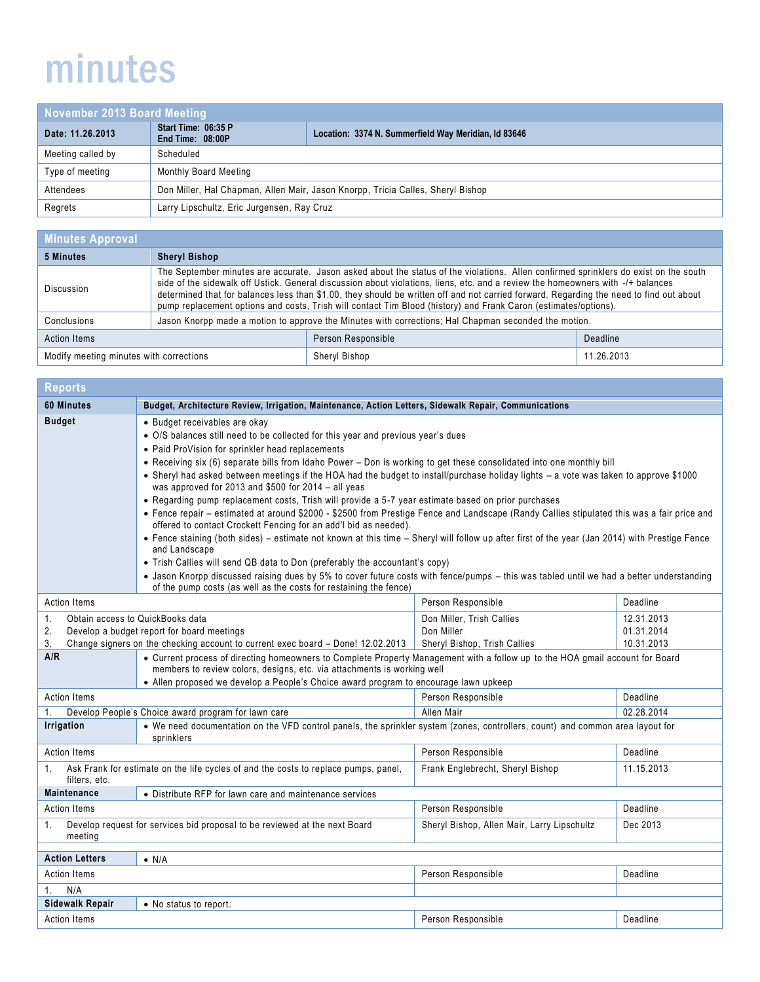## minutes

| November 2013 Board Meeting |                                                                                 |                                                      |
|-----------------------------|---------------------------------------------------------------------------------|------------------------------------------------------|
| Date: 11.26.2013            | Start Time: 06:35 P<br>End Time: 08:00P                                         | Location: 3374 N. Summerfield Way Meridian, Id 83646 |
| Meeting called by           | Scheduled                                                                       |                                                      |
| Type of meeting             | Monthly Board Meeting                                                           |                                                      |
| Attendees                   | Don Miller, Hal Chapman, Allen Mair, Jason Knorpp, Tricia Calles, Sheryl Bishop |                                                      |
| Regrets                     | Larry Lipschultz, Eric Jurgensen, Ray Cruz                                      |                                                      |

| <b>Minutes Approval</b>                 |                                                                                                                                                                                                                                                                                                                                                                                                                                                                                                                                       |                    |            |
|-----------------------------------------|---------------------------------------------------------------------------------------------------------------------------------------------------------------------------------------------------------------------------------------------------------------------------------------------------------------------------------------------------------------------------------------------------------------------------------------------------------------------------------------------------------------------------------------|--------------------|------------|
| 5 Minutes                               | <b>Sheryl Bishop</b>                                                                                                                                                                                                                                                                                                                                                                                                                                                                                                                  |                    |            |
| Discussion                              | The September minutes are accurate. Jason asked about the status of the violations. Allen confirmed sprinklers do exist on the south<br>side of the sidewalk off Ustick. General discussion about violations, liens, etc. and a review the homeowners with -/+ balances<br>determined that for balances less than \$1.00, they should be written off and not carried forward. Regarding the need to find out about<br>pump replacement options and costs, Trish will contact Tim Blood (history) and Frank Caron (estimates/options). |                    |            |
| Conclusions                             | Jason Knorpp made a motion to approve the Minutes with corrections; Hal Chapman seconded the motion.                                                                                                                                                                                                                                                                                                                                                                                                                                  |                    |            |
| <b>Action Items</b>                     |                                                                                                                                                                                                                                                                                                                                                                                                                                                                                                                                       | Person Responsible | Deadline   |
| Modify meeting minutes with corrections |                                                                                                                                                                                                                                                                                                                                                                                                                                                                                                                                       | Sheryl Bishop      | 11.26.2013 |
|                                         |                                                                                                                                                                                                                                                                                                                                                                                                                                                                                                                                       |                    |            |

| <b>Reports</b>                                                                                                                                                    |                                                                                                                                                                                                                                                                                                  |                              |            |
|-------------------------------------------------------------------------------------------------------------------------------------------------------------------|--------------------------------------------------------------------------------------------------------------------------------------------------------------------------------------------------------------------------------------------------------------------------------------------------|------------------------------|------------|
| 60 Minutes                                                                                                                                                        | Budget, Architecture Review, Irrigation, Maintenance, Action Letters, Sidewalk Repair, Communications                                                                                                                                                                                            |                              |            |
| <b>Budget</b>                                                                                                                                                     | • Budget receivables are okay                                                                                                                                                                                                                                                                    |                              |            |
|                                                                                                                                                                   | · O/S balances still need to be collected for this year and previous year's dues                                                                                                                                                                                                                 |                              |            |
|                                                                                                                                                                   | • Paid ProVision for sprinkler head replacements                                                                                                                                                                                                                                                 |                              |            |
|                                                                                                                                                                   | • Receiving six (6) separate bills from Idaho Power – Don is working to get these consolidated into one monthly bill                                                                                                                                                                             |                              |            |
|                                                                                                                                                                   | • Sheryl had asked between meetings if the HOA had the budget to install/purchase holiday lights - a vote was taken to approve \$1000<br>was approved for 2013 and \$500 for 2014 - all yeas                                                                                                     |                              |            |
|                                                                                                                                                                   | • Regarding pump replacement costs, Trish will provide a 5-7 year estimate based on prior purchases                                                                                                                                                                                              |                              |            |
|                                                                                                                                                                   | • Fence repair - estimated at around \$2000 - \$2500 from Prestige Fence and Landscape (Randy Callies stipulated this was a fair price and<br>offered to contact Crockett Fencing for an add'l bid as needed).                                                                                   |                              |            |
|                                                                                                                                                                   | • Fence staining (both sides) - estimate not known at this time - Sheryl will follow up after first of the year (Jan 2014) with Prestige Fence<br>and Landscape                                                                                                                                  |                              |            |
|                                                                                                                                                                   | • Trish Callies will send QB data to Don (preferably the accountant's copy)                                                                                                                                                                                                                      |                              |            |
|                                                                                                                                                                   | • Jason Knorpp discussed raising dues by 5% to cover future costs with fence/pumps – this was tabled until we had a better understanding<br>of the pump costs (as well as the costs for restaining the fence)                                                                                    |                              |            |
| <b>Action Items</b>                                                                                                                                               |                                                                                                                                                                                                                                                                                                  | Person Responsible           | Deadline   |
| Obtain access to QuickBooks data<br>1.                                                                                                                            |                                                                                                                                                                                                                                                                                                  | Don Miller, Trish Callies    | 12.31.2013 |
| 2.<br>Develop a budget report for board meetings                                                                                                                  |                                                                                                                                                                                                                                                                                                  | Don Miller                   | 01.31.2014 |
| 3.                                                                                                                                                                | Change signers on the checking account to current exec board - Done! 12.02.2013                                                                                                                                                                                                                  | Sheryl Bishop, Trish Callies | 10.31.2013 |
| A/R                                                                                                                                                               | • Current process of directing homeowners to Complete Property Management with a follow up to the HOA gmail account for Board<br>members to review colors, designs, etc. via attachments is working well<br>• Allen proposed we develop a People's Choice award program to encourage lawn upkeep |                              |            |
| <b>Action Items</b>                                                                                                                                               |                                                                                                                                                                                                                                                                                                  | Person Responsible           | Deadline   |
| $1_{\cdot}$                                                                                                                                                       | Develop People's Choice award program for lawn care                                                                                                                                                                                                                                              | Allen Mair                   | 02.28.2014 |
| Irrigation                                                                                                                                                        | • We need documentation on the VFD control panels, the sprinkler system (zones, controllers, count) and common area layout for<br>sprinklers                                                                                                                                                     |                              |            |
| <b>Action Items</b>                                                                                                                                               |                                                                                                                                                                                                                                                                                                  | Person Responsible           | Deadline   |
| Ask Frank for estimate on the life cycles of and the costs to replace pumps, panel,<br>Frank Englebrecht, Sheryl Bishop<br>11.15.2013<br>$1_{-}$<br>filters, etc. |                                                                                                                                                                                                                                                                                                  |                              |            |
| <b>Maintenance</b>                                                                                                                                                | • Distribute RFP for lawn care and maintenance services                                                                                                                                                                                                                                          |                              |            |
| <b>Action Items</b>                                                                                                                                               |                                                                                                                                                                                                                                                                                                  | Person Responsible           | Deadline   |
| Develop request for services bid proposal to be reviewed at the next Board<br>Sheryl Bishop, Allen Mair, Larry Lipschultz<br>Dec 2013<br>1.<br>meeting            |                                                                                                                                                                                                                                                                                                  |                              |            |
| <b>Action Letters</b>                                                                                                                                             | $\bullet$ N/A                                                                                                                                                                                                                                                                                    |                              |            |
| Person Responsible<br>Action Items<br>Deadline                                                                                                                    |                                                                                                                                                                                                                                                                                                  |                              |            |
| N/A<br>1.                                                                                                                                                         |                                                                                                                                                                                                                                                                                                  |                              |            |
| <b>Sidewalk Repair</b>                                                                                                                                            | • No status to report.                                                                                                                                                                                                                                                                           |                              |            |
| <b>Action Items</b>                                                                                                                                               |                                                                                                                                                                                                                                                                                                  | Person Responsible           | Deadline   |